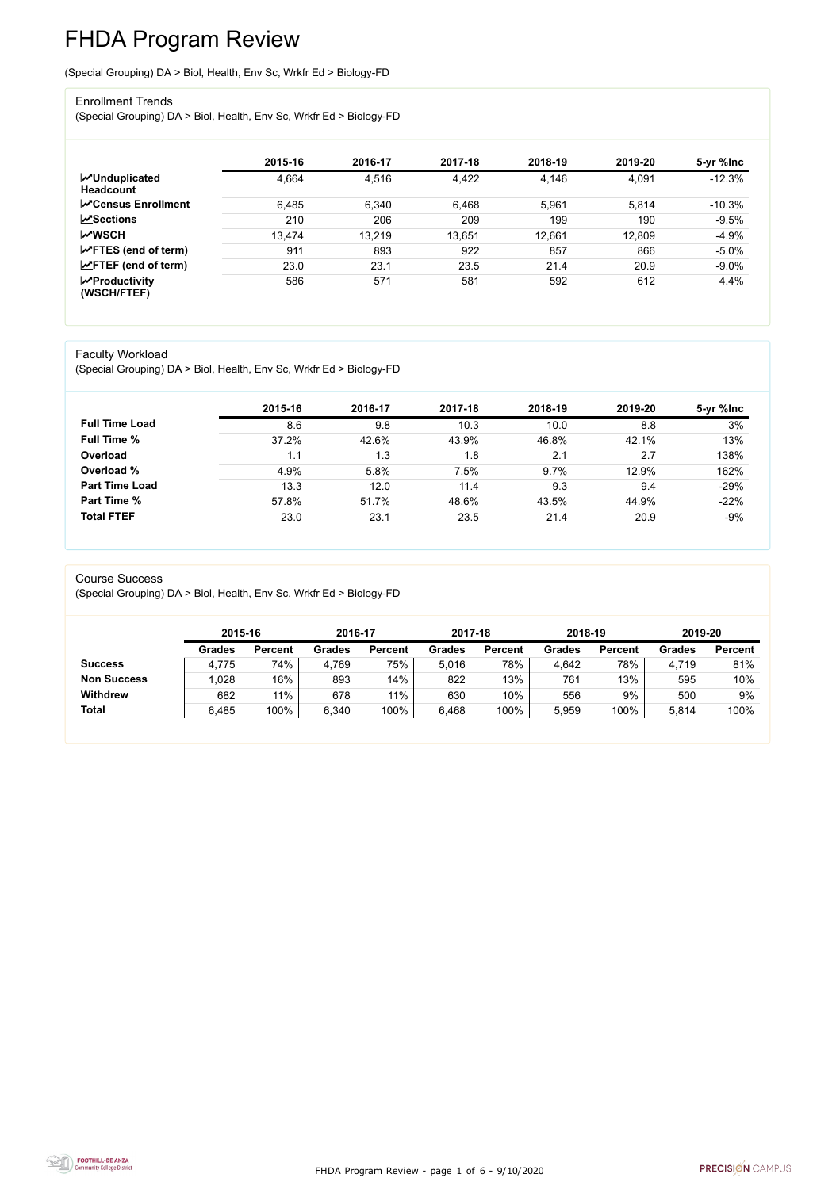FHDA Program Review - page 1 of 6 - 9/10/2020



# FHDA Program Review

(Special Grouping) DA > Biol, Health, Env Sc, Wrkfr Ed > Biology-FD

#### Enrollment Trends

(Special Grouping) DA > Biol, Health, Env Sc, Wrkfr Ed > Biology-FD

|                                          | 2015-16 | 2016-17 | 2017-18 | 2018-19 | 2019-20 | 5-yr %lnc |
|------------------------------------------|---------|---------|---------|---------|---------|-----------|
| <b>MUnduplicated</b><br><b>Headcount</b> | 4,664   | 4,516   | 4,422   | 4,146   | 4,091   | $-12.3%$  |
| <b>∠</b> Census Enrollment               | 6,485   | 6,340   | 6,468   | 5,961   | 5,814   | $-10.3%$  |
| <b>∠Sections</b>                         | 210     | 206     | 209     | 199     | 190     | $-9.5%$   |
| <b>MWSCH</b>                             | 13,474  | 13,219  | 13,651  | 12,661  | 12,809  | $-4.9%$   |
| $\angle$ FTES (end of term)              | 911     | 893     | 922     | 857     | 866     | $-5.0\%$  |
| $\angle$ FTEF (end of term)              | 23.0    | 23.1    | 23.5    | 21.4    | 20.9    | $-9.0%$   |
| $\chi$ Productivity<br>(WSCH/FTEF)       | 586     | 571     | 581     | 592     | 612     | 4.4%      |

#### Faculty Workload

(Special Grouping) DA > Biol, Health, Env Sc, Wrkfr Ed > Biology-FD

|                       | 2015-16 | 2016-17 | 2017-18 | 2018-19 | 2019-20 | 5-yr %lnc |
|-----------------------|---------|---------|---------|---------|---------|-----------|
| <b>Full Time Load</b> | 8.6     | 9.8     | 10.3    | 10.0    | 8.8     | 3%        |
| <b>Full Time %</b>    | 37.2%   | 42.6%   | 43.9%   | 46.8%   | 42.1%   | 13%       |
| Overload              | 1.1     | 1.3     | 1.8     | 2.1     | 2.7     | 138%      |
| Overload %            | 4.9%    | 5.8%    | 7.5%    | 9.7%    | 12.9%   | 162%      |
| <b>Part Time Load</b> | 13.3    | 12.0    | 11.4    | 9.3     | 9.4     | $-29%$    |
| <b>Part Time %</b>    | 57.8%   | 51.7%   | 48.6%   | 43.5%   | 44.9%   | $-22%$    |
| <b>Total FTEF</b>     | 23.0    | 23.1    | 23.5    | 21.4    | 20.9    | $-9%$     |

Course Success

(Special Grouping) DA > Biol, Health, Env Sc, Wrkfr Ed > Biology-FD

|                    |               | 2015-16        |               | 2016-17        | 2017-18       |                | 2018-19       |                | 2019-20       |                |
|--------------------|---------------|----------------|---------------|----------------|---------------|----------------|---------------|----------------|---------------|----------------|
|                    | <b>Grades</b> | <b>Percent</b> | <b>Grades</b> | <b>Percent</b> | <b>Grades</b> | <b>Percent</b> | <b>Grades</b> | <b>Percent</b> | <b>Grades</b> | <b>Percent</b> |
| <b>Success</b>     | 4,775         | 74%            | 4,769         | 75%            | 5.016         | 78%            | 4,642         | 78%            | 4,719         | 81%            |
| <b>Non Success</b> | 1,028         | 16%            | 893           | 14%            | 822           | 13%            | 761           | 13%            | 595           | 10%            |
| <b>Withdrew</b>    | 682           | 11%            | 678           | 11%            | 630           | 10%            | 556           | 9%             | 500           | 9%             |
| <b>Total</b>       | 6,485         | 100%           | 6,340         | 100%           | 6,468         | 100%           | 5,959         | 100%           | 5,814         | 100%           |

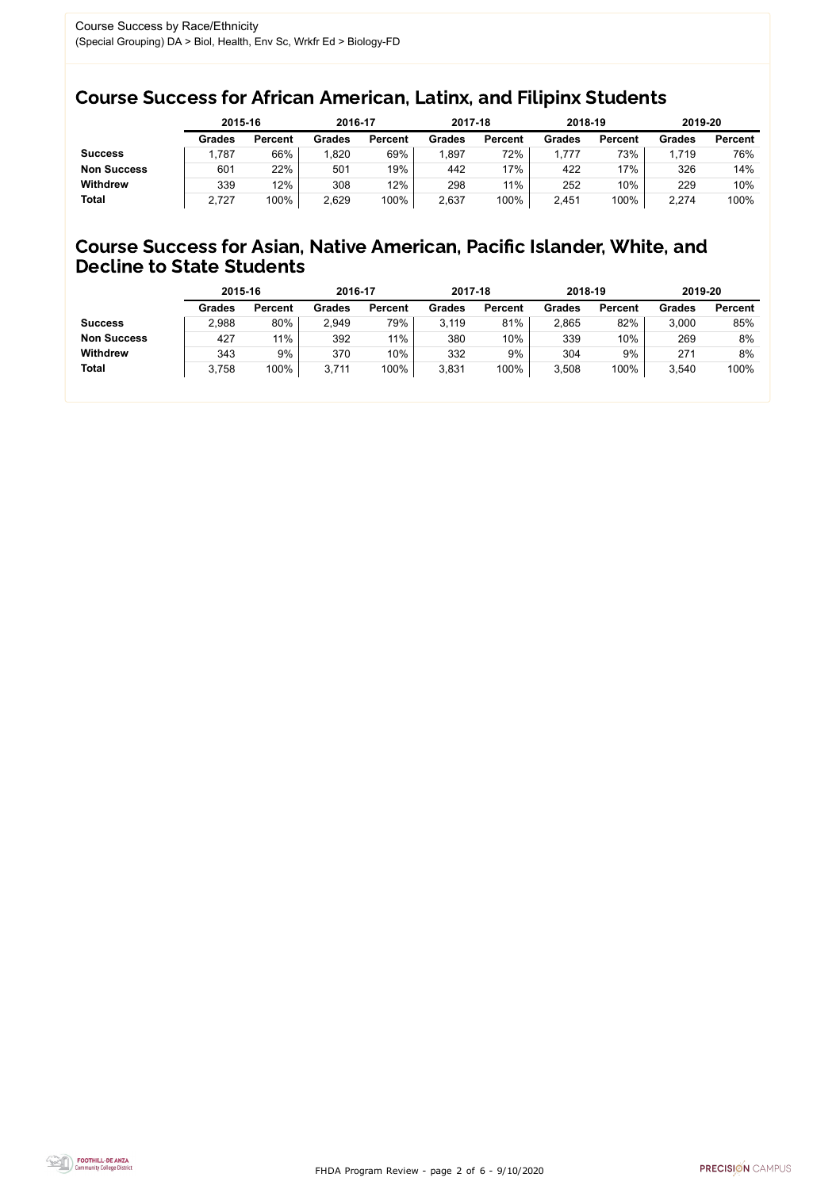FHDA Program Review - page 2 of 6 - 9/10/2020



### Course Success for African American, Latinx, and Filipinx Students

### Course Success for Asian, Native American, Pacific Islander, White, and Decline to State Students

|                    | 2015-16       |                | 2016-17       |                | 2017-18       |                | 2018-19       |                | 2019-20       |                |
|--------------------|---------------|----------------|---------------|----------------|---------------|----------------|---------------|----------------|---------------|----------------|
|                    | <b>Grades</b> | <b>Percent</b> | <b>Grades</b> | <b>Percent</b> | <b>Grades</b> | <b>Percent</b> | <b>Grades</b> | <b>Percent</b> | <b>Grades</b> | <b>Percent</b> |
| <b>Success</b>     | ,787          | 66%            | 1,820         | 69%            | 897.ا         | 72%            | ,777          | 73%            | 1,719         | 76%            |
| <b>Non Success</b> | 601           | 22%            | 501           | 19%            | 442           | '7%            | 422           | 17%            | 326           | 14%            |
| <b>Withdrew</b>    | 339           | 12%            | 308           | 12%            | 298           | 11%            | 252           | 10%            | 229           | 10%            |
| <b>Total</b>       | 2,727         | 100%           | 2,629         | 100%           | 2,637         | 100%           | 2,451         | 100%           | 2,274         | 100%           |

|                    | 2015-16       |                | 2016-17       |                | 2017-18       |                | 2018-19       |                | 2019-20 |                |
|--------------------|---------------|----------------|---------------|----------------|---------------|----------------|---------------|----------------|---------|----------------|
|                    | <b>Grades</b> | <b>Percent</b> | <b>Grades</b> | <b>Percent</b> | <b>Grades</b> | <b>Percent</b> | <b>Grades</b> | <b>Percent</b> | Grades  | <b>Percent</b> |
| <b>Success</b>     | 2,988         | 80%            | 2,949         | 79%            | 3,119         | 81%            | 2,865         | 82%            | 3,000   | 85%            |
| <b>Non Success</b> | 427           | 11%            | 392           | $11\%$         | 380           | 10%            | 339           | 10%            | 269     | 8%             |
| <b>Withdrew</b>    | 343           | 9%             | 370           | 10%            | 332           | 9%             | 304           | 9%             | 271     | 8%             |
| <b>Total</b>       | 3,758         | 100%           | 3,711         | 100%           | 3,831         | 100%           | 3,508         | 100%           | 3,540   | 100%           |
|                    |               |                |               |                |               |                |               |                |         |                |

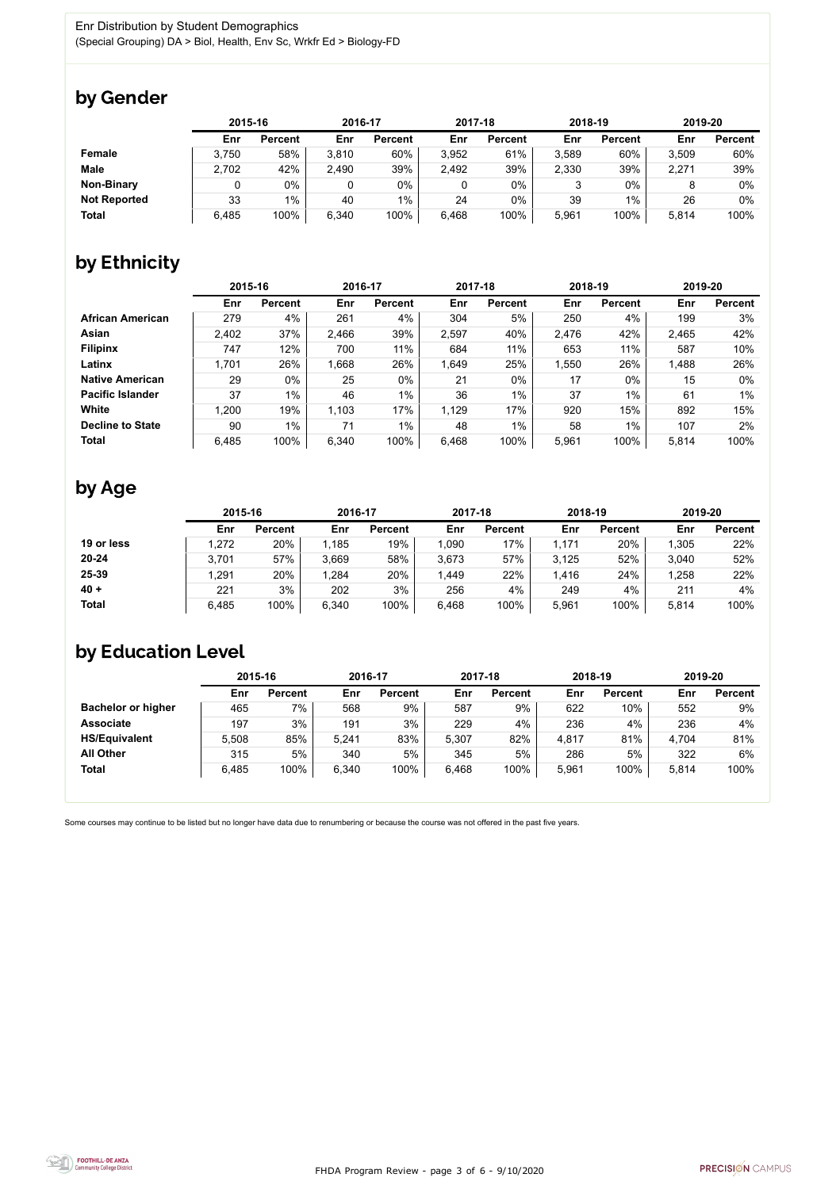FHDA Program Review - page 3 of 6 - 9/10/2020



Some courses may continue to be listed but no longer have data due to renumbering or because the course was not offered in the past five years.



## by Gender

|                     | 2015-16 |                |       | 2016-17        |       | 2017-18        | 2018-19 |                | 2019-20 |                |
|---------------------|---------|----------------|-------|----------------|-------|----------------|---------|----------------|---------|----------------|
|                     | Enr     | <b>Percent</b> | Enr   | <b>Percent</b> | Enr   | <b>Percent</b> | Enr     | <b>Percent</b> | Enr     | <b>Percent</b> |
| <b>Female</b>       | 3,750   | 58%            | 3,810 | 60%            | 3,952 | 61%            | 3,589   | 60%            | 3,509   | 60%            |
| <b>Male</b>         | 2,702   | 42%            | 2,490 | 39%            | 2,492 | 39%            | 2,330   | 39%            | 2,271   | 39%            |
| <b>Non-Binary</b>   |         | 0%             |       | $0\%$          |       | $0\%$          |         | $0\%$          |         | 0%             |
| <b>Not Reported</b> | 33      | $1\%$          | 40    | $1\%$          | 24    | $0\%$          | 39      | 1%             | 26      | 0%             |
| <b>Total</b>        | 6,485   | 100%           | 6,340 | 100%           | 6,468 | 100%           | 5,961   | 100%           | 5,814   | 100%           |

## by Ethnicity

|                         | 2015-16 |                | 2016-17 |                | 2017-18 |                | 2018-19 |                | 2019-20 |                |
|-------------------------|---------|----------------|---------|----------------|---------|----------------|---------|----------------|---------|----------------|
|                         | Enr     | <b>Percent</b> | Enr     | <b>Percent</b> | Enr     | <b>Percent</b> | Enr     | <b>Percent</b> | Enr     | <b>Percent</b> |
| <b>African American</b> | 279     | 4%             | 261     | 4%             | 304     | 5%             | 250     | 4%             | 199     | 3%             |
| Asian                   | 2,402   | 37%            | 2,466   | 39%            | 2,597   | 40%            | 2,476   | 42%            | 2,465   | 42%            |
| <b>Filipinx</b>         | 747     | 12%            | 700     | 11%            | 684     | 11%            | 653     | 11%            | 587     | 10%            |
| Latinx                  | 1,701   | 26%            | 1,668   | 26%            | 1,649   | 25%            | 1,550   | 26%            | 1,488   | 26%            |
| <b>Native American</b>  | 29      | $0\%$          | 25      | $0\%$          | 21      | $0\%$          | 17      | $0\%$          | 15      | $0\%$          |
| <b>Pacific Islander</b> | 37      | 1%             | 46      | $1\%$          | 36      | $1\%$          | 37      | $1\%$          | 61      | $1\%$          |
| White                   | 1,200   | 19%            | 1,103   | 17%            | 1,129   | 17%            | 920     | 15%            | 892     | 15%            |
| <b>Decline to State</b> | 90      | $1\%$          | 71      | $1\%$          | 48      | $1\%$          | 58      | $1\%$          | 107     | 2%             |
| <b>Total</b>            | 6,485   | 100%           | 6,340   | 100%           | 6,468   | 100%           | 5,961   | 100%           | 5,814   | 100%           |

## by Age

|              | 2015-16 |                | 2016-17 |                | 2017-18 |                | 2018-19 |                | 2019-20 |                |
|--------------|---------|----------------|---------|----------------|---------|----------------|---------|----------------|---------|----------------|
|              | Enr     | <b>Percent</b> | Enr     | <b>Percent</b> | Enr     | <b>Percent</b> | Enr     | <b>Percent</b> | Enr     | <b>Percent</b> |
| 19 or less   | .272    | 20%            | 1,185   | 19%            | ,090    | 17%            | 1,171   | 20%            | 1,305   | 22%            |
| $20 - 24$    | 3,701   | 57%            | 3,669   | 58%            | 3,673   | 57%            | 3,125   | 52%            | 3,040   | 52%            |
| 25-39        | ,291    | 20%            | 1,284   | 20%            | 1,449   | 22%            | 1,416   | 24%            | 1,258   | 22%            |
| $40 +$       | 221     | 3%             | 202     | 3%             | 256     | 4%             | 249     | 4%             | 211     | 4%             |
| <b>Total</b> | 6,485   | 100%           | 6,340   | 100%           | 6,468   | 100%           | 5,961   | 100%           | 5,814   | 100%           |

## by Education Level

|                           | 2015-16 |                |       | 2016-17        |       | 2017-18        | 2018-19 |                | 2019-20 |                |
|---------------------------|---------|----------------|-------|----------------|-------|----------------|---------|----------------|---------|----------------|
|                           | Enr     | <b>Percent</b> | Enr   | <b>Percent</b> | Enr   | <b>Percent</b> | Enr     | <b>Percent</b> | Enr     | <b>Percent</b> |
| <b>Bachelor or higher</b> | 465     | 7%             | 568   | 9%             | 587   | 9%             | 622     | 10%            | 552     | 9%             |
| <b>Associate</b>          | 197     | 3%             | 191   | 3%             | 229   | 4%             | 236     | 4%             | 236     | 4%             |
| <b>HS/Equivalent</b>      | 5,508   | 85%            | 5,241 | 83%            | 5,307 | 82%            | 4,817   | 81%            | 4,704   | 81%            |
| <b>All Other</b>          | 315     | 5%             | 340   | 5%             | 345   | 5%             | 286     | 5%             | 322     | 6%             |
| <b>Total</b>              | 6,485   | 100%           | 6,340 | 100%           | 6,468 | 100%           | 5,961   | 100%           | 5,814   | 100%           |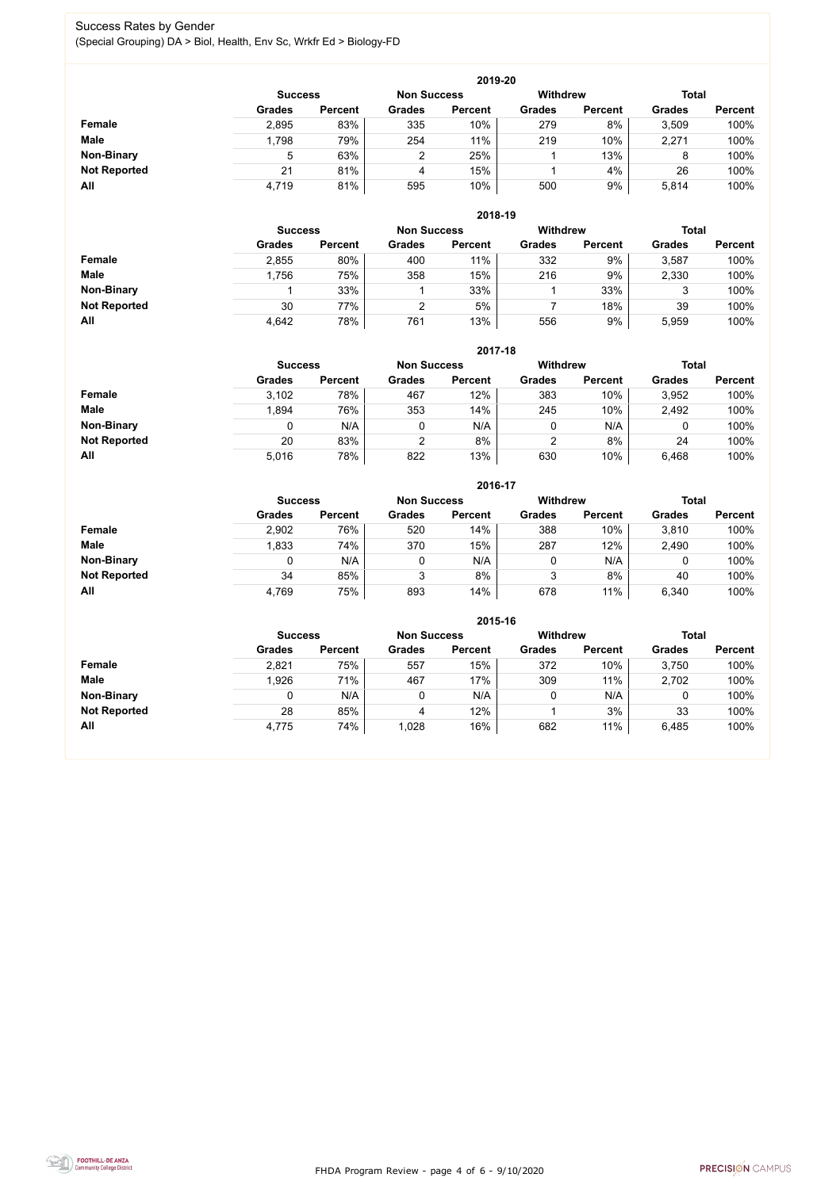FHDA Program Review - page 4 of 6 - 9/10/2020



#### Success Rates by Gender (Special Grouping) DA > Biol, Health, Env Sc, Wrkfr Ed > Biology-FD

|                     | 2019-20        |                |                    |                |                 |                |               |                |  |  |  |  |
|---------------------|----------------|----------------|--------------------|----------------|-----------------|----------------|---------------|----------------|--|--|--|--|
|                     | <b>Success</b> |                | <b>Non Success</b> |                | <b>Withdrew</b> |                | <b>Total</b>  |                |  |  |  |  |
|                     | <b>Grades</b>  | <b>Percent</b> | <b>Grades</b>      | <b>Percent</b> | <b>Grades</b>   | <b>Percent</b> | <b>Grades</b> | <b>Percent</b> |  |  |  |  |
| <b>Female</b>       | 2,895          | 83%            | 335                | 10%            | 279             | 8%             | 3,509         | 100%           |  |  |  |  |
| <b>Male</b>         | 1,798          | 79%            | 254                | 11%            | 219             | 10%            | 2,271         | 100%           |  |  |  |  |
| <b>Non-Binary</b>   | 5              | 63%            |                    | 25%            |                 | 13%            | 8             | 100%           |  |  |  |  |
| <b>Not Reported</b> | 21             | 81%            | 4                  | 15%            |                 | 4%             | 26            | 100%           |  |  |  |  |
| All                 | 4,719          | 81%            | 595                | 10%            | 500             | 9%             | 5,814         | 100%           |  |  |  |  |

|                     |                | 2018-19        |                    |                |                 |                |               |                |  |  |  |  |  |
|---------------------|----------------|----------------|--------------------|----------------|-----------------|----------------|---------------|----------------|--|--|--|--|--|
|                     | <b>Success</b> |                | <b>Non Success</b> |                | <b>Withdrew</b> |                | <b>Total</b>  |                |  |  |  |  |  |
|                     | <b>Grades</b>  | <b>Percent</b> | <b>Grades</b>      | <b>Percent</b> | <b>Grades</b>   | <b>Percent</b> | <b>Grades</b> | <b>Percent</b> |  |  |  |  |  |
| Female              | 2,855          | 80%            | 400                | 11%            | 332             | 9%             | 3,587         | 100%           |  |  |  |  |  |
| <b>Male</b>         | 1,756          | 75%            | 358                | 15%            | 216             | 9%             | 2,330         | 100%           |  |  |  |  |  |
| <b>Non-Binary</b>   |                | 33%            |                    | 33%            |                 | 33%            | 3             | 100%           |  |  |  |  |  |
| <b>Not Reported</b> | 30             | 77%            | ⌒                  | 5%             |                 | 18%            | 39            | 100%           |  |  |  |  |  |
| All                 | 4,642          | 78%            | 761                | 13%            | 556             | 9%             | 5,959         | 100%           |  |  |  |  |  |

|                     |               | 2017-18                              |                |                |               |                 |               |                |  |  |  |  |  |
|---------------------|---------------|--------------------------------------|----------------|----------------|---------------|-----------------|---------------|----------------|--|--|--|--|--|
|                     |               | <b>Non Success</b><br><b>Success</b> |                |                |               | <b>Withdrew</b> | <b>Total</b>  |                |  |  |  |  |  |
|                     | <b>Grades</b> | <b>Percent</b>                       | <b>Grades</b>  | <b>Percent</b> | <b>Grades</b> | <b>Percent</b>  | <b>Grades</b> | <b>Percent</b> |  |  |  |  |  |
| Female              | 3,102         | 78%                                  | 467            | 12%            | 383           | 10%             | 3,952         | 100%           |  |  |  |  |  |
| <b>Male</b>         | 1,894         | 76%                                  | 353            | 14%            | 245           | 10%             | 2,492         | 100%           |  |  |  |  |  |
| <b>Non-Binary</b>   | 0             | N/A                                  |                | N/A            | 0             | N/A             | 0             | 100%           |  |  |  |  |  |
| <b>Not Reported</b> | 20            | 83%                                  | $\overline{2}$ | 8%             | 2             | 8%              | 24            | 100%           |  |  |  |  |  |
| All                 | 5,016         | 78%                                  | 822            | 13%            | 630           | 10%             | 6,468         | 100%           |  |  |  |  |  |

|                     |               | 2016-17        |               |                    |                 |                |               |                |  |  |
|---------------------|---------------|----------------|---------------|--------------------|-----------------|----------------|---------------|----------------|--|--|
|                     |               | <b>Success</b> |               | <b>Non Success</b> | <b>Withdrew</b> |                | <b>Total</b>  |                |  |  |
|                     | <b>Grades</b> | <b>Percent</b> | <b>Grades</b> | <b>Percent</b>     | <b>Grades</b>   | <b>Percent</b> | <b>Grades</b> | <b>Percent</b> |  |  |
| <b>Female</b>       | 2,902         | 76%            | 520           | 14%                | 388             | 10%            | 3,810         | 100%           |  |  |
| <b>Male</b>         | 1,833         | 74%            | 370           | 15%                | 287             | 12%            | 2,490         | 100%           |  |  |
| <b>Non-Binary</b>   | 0             | N/A            |               | N/A                | 0               | N/A            |               | 100%           |  |  |
| <b>Not Reported</b> | 34            | 85%            | 3             | 8%                 | 3               | 8%             | 40            | 100%           |  |  |
| All                 | 4,769         | 75%            | 893           | 14%                | 678             | 11%            | 6,340         | 100%           |  |  |

|                     |                | 2015-16            |               |                 |               |                |               |                |  |  |
|---------------------|----------------|--------------------|---------------|-----------------|---------------|----------------|---------------|----------------|--|--|
|                     | <b>Success</b> | <b>Non Success</b> |               | <b>Withdrew</b> |               | <b>Total</b>   |               |                |  |  |
|                     | <b>Grades</b>  | <b>Percent</b>     | <b>Grades</b> | <b>Percent</b>  | <b>Grades</b> | <b>Percent</b> | <b>Grades</b> | <b>Percent</b> |  |  |
| Female              | 2,821          | 75%                | 557           | 15%             | 372           | 10%            | 3,750         | 100%           |  |  |
| <b>Male</b>         | 1,926          | 71%                | 467           | 17%             | 309           | 11%            | 2,702         | 100%           |  |  |
| <b>Non-Binary</b>   |                | N/A                | 0             | N/A             |               | N/A            | 0             | 100%           |  |  |
| <b>Not Reported</b> | 28             | 85%                | 4             | 12%             |               | 3%             | 33            | 100%           |  |  |
| All                 | 4,775          | 74%                | 1,028         | 16%             | 682           | 11%            | 6,485         | 100%           |  |  |

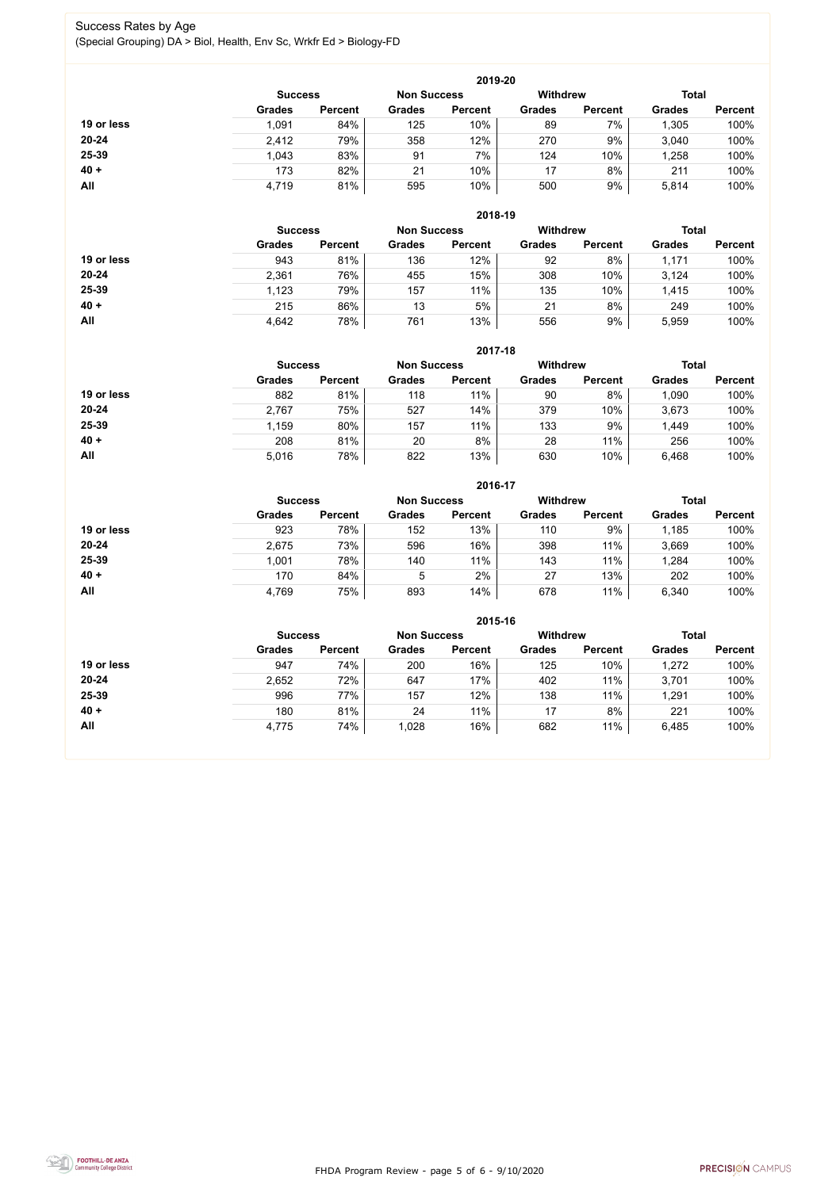FHDA Program Review - page 5 of 6 - 9/10/2020



#### Success Rates by Age (Special Grouping) DA > Biol, Health, Env Sc, Wrkfr Ed > Biology-FD

|            | 2019-20        |                    |               |                 |               |                |               |                |  |  |
|------------|----------------|--------------------|---------------|-----------------|---------------|----------------|---------------|----------------|--|--|
|            | <b>Success</b> | <b>Non Success</b> |               | <b>Withdrew</b> |               | <b>Total</b>   |               |                |  |  |
|            | <b>Grades</b>  | <b>Percent</b>     | <b>Grades</b> | <b>Percent</b>  | <b>Grades</b> | <b>Percent</b> | <b>Grades</b> | <b>Percent</b> |  |  |
| 19 or less | 1,091          | 84%                | 125           | 10%             | 89            | 7%             | 1,305         | 100%           |  |  |
| $20 - 24$  | 2,412          | 79%                | 358           | 12%             | 270           | 9%             | 3,040         | 100%           |  |  |
| 25-39      | 1,043          | 83%                | 91            | 7%              | 124           | 10%            | .258          | 100%           |  |  |
| $40 +$     | 173            | 82%                | 21            | 10%             | 17            | 8%             | 211           | 100%           |  |  |
| All        | 4,719          | 81%                | 595           | 10%             | 500           | 9%             | 5,814         | 100%           |  |  |

|            | 2018-19        |                    |               |                 |               |                |               |                |  |  |
|------------|----------------|--------------------|---------------|-----------------|---------------|----------------|---------------|----------------|--|--|
|            | <b>Success</b> | <b>Non Success</b> |               | <b>Withdrew</b> |               | <b>Total</b>   |               |                |  |  |
|            | <b>Grades</b>  | <b>Percent</b>     | <b>Grades</b> | <b>Percent</b>  | <b>Grades</b> | <b>Percent</b> | <b>Grades</b> | <b>Percent</b> |  |  |
| 19 or less | 943            | 81%                | 136           | 12%             | 92            | 8%             | 1,171         | 100%           |  |  |
| $20 - 24$  | 2,361          | 76%                | 455           | 15%             | 308           | 10%            | 3,124         | 100%           |  |  |
| 25-39      | 1,123          | 79%                | 157           | 11%             | 135           | 10%            | 1,415         | 100%           |  |  |
| $40 +$     | 215            | 86%                | 13            | 5%              | 21            | 8%             | 249           | 100%           |  |  |
| All        | 4,642          | 78%                | 761           | 13%             | 556           | 9%             | 5,959         | 100%           |  |  |

|            | 2017-18                              |                |               |                |                 |                |               |                |  |  |
|------------|--------------------------------------|----------------|---------------|----------------|-----------------|----------------|---------------|----------------|--|--|
|            | <b>Non Success</b><br><b>Success</b> |                |               |                | <b>Withdrew</b> |                | <b>Total</b>  |                |  |  |
|            | <b>Grades</b>                        | <b>Percent</b> | <b>Grades</b> | <b>Percent</b> | <b>Grades</b>   | <b>Percent</b> | <b>Grades</b> | <b>Percent</b> |  |  |
| 19 or less | 882                                  | 81%            | 118           | 11%            | 90              | 8%             | 1,090         | 100%           |  |  |
| $20 - 24$  | 2,767                                | 75%            | 527           | 14%            | 379             | 10%            | 3,673         | 100%           |  |  |
| 25-39      | 1,159                                | 80%            | 157           | 11%            | 133             | 9%             | 1,449         | 100%           |  |  |
| $40 +$     | 208                                  | 81%            | 20            | 8%             | 28              | 11%            | 256           | 100%           |  |  |
| All        | 5,016                                | 78%            | 822           | 13%            | 630             | 10%            | 6,468         | 100%           |  |  |

|            |                |                    |               | 2016-17        |                                 |                |               |                |
|------------|----------------|--------------------|---------------|----------------|---------------------------------|----------------|---------------|----------------|
|            | <b>Success</b> | <b>Non Success</b> |               |                | <b>Withdrew</b><br><b>Total</b> |                |               |                |
|            | <b>Grades</b>  | <b>Percent</b>     | <b>Grades</b> | <b>Percent</b> | <b>Grades</b>                   | <b>Percent</b> | <b>Grades</b> | <b>Percent</b> |
| 19 or less | 923            | 78%                | 152           | 13%            | 110                             | 9%             | 1,185         | 100%           |
| $20 - 24$  | 2,675          | 73%                | 596           | 16%            | 398                             | 11%            | 3,669         | 100%           |
| 25-39      | 1,001          | 78%                | 140           | 11%            | 143                             | 11%            | 1,284         | 100%           |
| $40 +$     | 170            | 84%                | 5             | 2%             | 27                              | 13%            | 202           | 100%           |
| All        | 4,769          | 75%                | 893           | 14%            | 678                             | 11%            | 6,340         | 100%           |

|            | 2015-16        |                    |                 |                |               |                |               |                |  |  |
|------------|----------------|--------------------|-----------------|----------------|---------------|----------------|---------------|----------------|--|--|
|            | <b>Success</b> | <b>Non Success</b> | <b>Withdrew</b> |                | <b>Total</b>  |                |               |                |  |  |
|            | <b>Grades</b>  | <b>Percent</b>     | <b>Grades</b>   | <b>Percent</b> | <b>Grades</b> | <b>Percent</b> | <b>Grades</b> | <b>Percent</b> |  |  |
| 19 or less | 947            | 74%                | 200             | 16%            | 125           | 10%            | 1,272         | 100%           |  |  |
| $20 - 24$  | 2,652          | 72%                | 647             | 17%            | 402           | 11%            | 3,701         | 100%           |  |  |
| 25-39      | 996            | 77%                | 157             | 12%            | 138           | 11%            | 1,291         | 100%           |  |  |
| $40 +$     | 180            | 81%                | 24              | 11%            | 17            | 8%             | 221           | 100%           |  |  |
| All        | 4,775          | 74%                | 1,028           | 16%            | 682           | 11%            | 6,485         | 100%           |  |  |